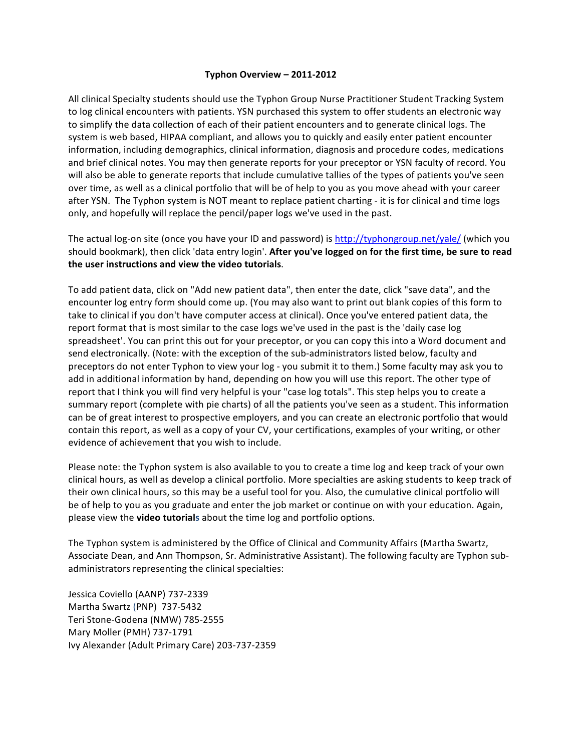## **Typhon Overview – 2011-2012**

All clinical Specialty students should use the Typhon Group Nurse Practitioner Student Tracking System to log clinical encounters with patients. YSN purchased this system to offer students an electronic way to simplify the data collection of each of their patient encounters and to generate clinical logs. The system is web based, HIPAA compliant, and allows you to quickly and easily enter patient encounter information, including demographics, clinical information, diagnosis and procedure codes, medications and brief clinical notes. You may then generate reports for your preceptor or YSN faculty of record. You will also be able to generate reports that include cumulative tallies of the types of patients you've seen over time, as well as a clinical portfolio that will be of help to you as you move ahead with your career after YSN. The Typhon system is NOT meant to replace patient charting - it is for clinical and time logs only, and hopefully will replace the pencil/paper logs we've used in the past.

The actual log-on site (once you have your ID and password) is http://typhongroup.net/yale/ (which you should bookmark), then click 'data entry login'. After you've logged on for the first time, be sure to read the user instructions and view the video tutorials.

To add patient data, click on "Add new patient data", then enter the date, click "save data", and the encounter log entry form should come up. (You may also want to print out blank copies of this form to take to clinical if you don't have computer access at clinical). Once you've entered patient data, the report format that is most similar to the case logs we've used in the past is the 'daily case log spreadsheet'. You can print this out for your preceptor, or you can copy this into a Word document and send electronically. (Note: with the exception of the sub-administrators listed below, faculty and preceptors do not enter Typhon to view your log - you submit it to them.) Some faculty may ask you to add in additional information by hand, depending on how you will use this report. The other type of report that I think you will find very helpful is your "case log totals". This step helps you to create a summary report (complete with pie charts) of all the patients you've seen as a student. This information can be of great interest to prospective employers, and you can create an electronic portfolio that would contain this report, as well as a copy of your CV, your certifications, examples of your writing, or other evidence of achievement that you wish to include.

Please note: the Typhon system is also available to you to create a time log and keep track of your own clinical hours, as well as develop a clinical portfolio. More specialties are asking students to keep track of their own clinical hours, so this may be a useful tool for you. Also, the cumulative clinical portfolio will be of help to you as you graduate and enter the job market or continue on with your education. Again, please view the **video tutorials** about the time log and portfolio options.

The Typhon system is administered by the Office of Clinical and Community Affairs (Martha Swartz, Associate Dean, and Ann Thompson, Sr. Administrative Assistant). The following faculty are Typhon subadministrators representing the clinical specialties:

Jessica Coviello (AANP) 737-2339 Martha Swartz (PNP) 737-5432 Teri Stone-Godena (NMW) 785-2555 Mary Moller (PMH) 737-1791 Ivy Alexander (Adult Primary Care) 203-737-2359